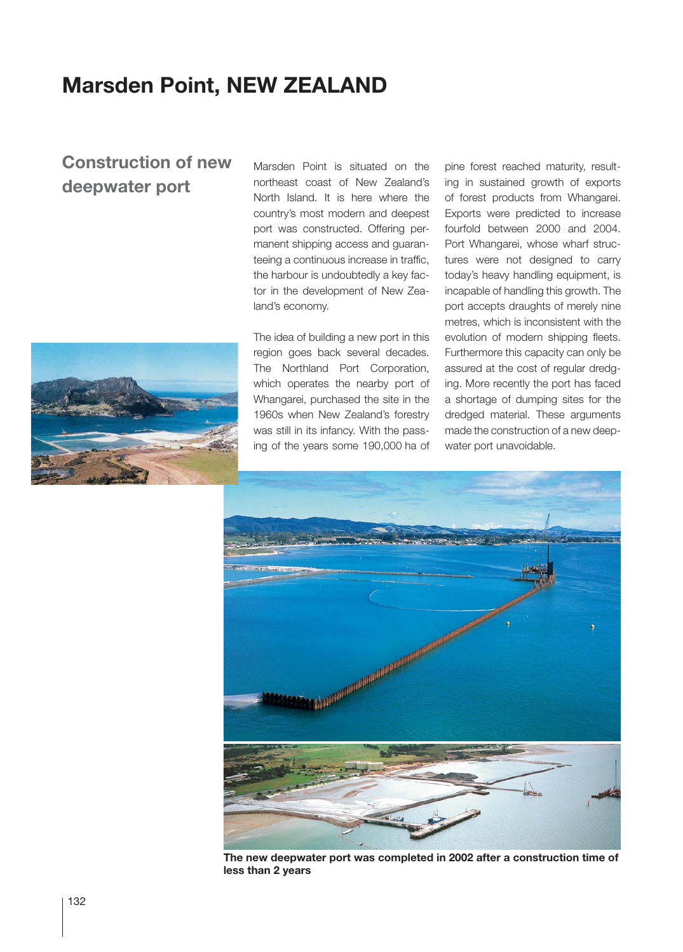## **Marsden Point, NEW ZEALAND**

## **Construction of new deepwater port**

Marsden Point is situated on the northeast coast of New Zealand's North Island. It is here where the country's most modern and deepest port was constructed. Offering permanent shipping access and guaranteeing a continuous increase in traffic, the harbour is undoubtedly a key factor in the development of New Zealand's economy.

The idea of building a new port in this region goes back several decades. The Northland Port Corporation, which operates the nearby port of Whangarei, purchased the site in the 1960s when New Zealand's forestry was still in its infancy. With the passing of the years some 190,000 ha of

pine forest reached maturity, resulting in sustained growth of exports of forest products from Whangarei. Exports were predicted to increase fourfold between 2000 and 2004. Port Whangarei, whose wharf structures were not designed to carry today's heavy handling equipment, is incapable of handling this growth. The port accepts draughts of merely nine metres, which is inconsistent with the evolution of modern shipping fleets. Furthermore this capacity can only be assured at the cost of regular dredging. More recently the port has faced a shortage of dumping sites for the dredged material. These arguments made the construction of a new deepwater port unavoidable.



**The new deepwater port was completed in 2002 after a construction time of less than 2 years**

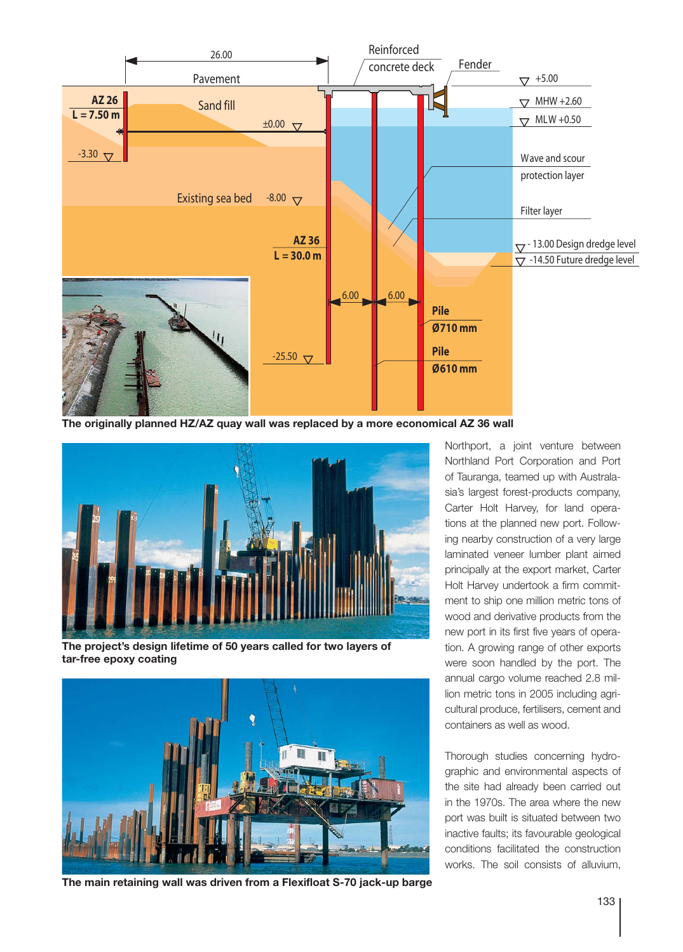

**The originally planned HZ/AZ quay wall was replaced by a more economical AZ 36 wall**



**The project's design lifetime of 50 years called for two layers of tar-free epoxy coating**



**The main retaining wall was driven from a Flexifloat S-70 jack-up barge**

Northport, a joint venture between Northland Port Corporation and Port of Tauranga, teamed up with Australasia's largest forest-products company, Carter Holt Harvey, for land operations at the planned new port. Following nearby construction of a very large laminated veneer lumber plant aimed principally at the export market, Carter Holt Harvey undertook a firm commitment to ship one million metric tons of wood and derivative products from the new port in its first five years of operation. A growing range of other exports were soon handled by the port. The annual cargo volume reached 2.8 million metric tons in 2005 including agricultural produce, fertilisers, cement and containers as well as wood.

Thorough studies concerning hydrographic and environmental aspects of the site had already been carried out in the 1970s. The area where the new port was built is situated between two inactive faults; its favourable geological conditions facilitated the construction works. The soil consists of alluvium,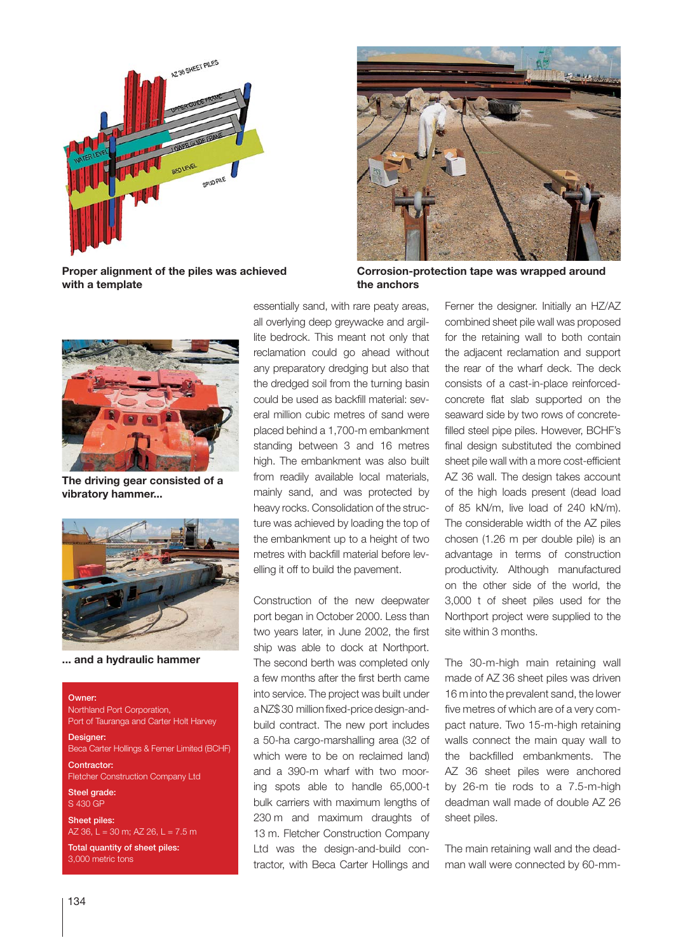

**Proper alignment of the piles was achieved with a template**



**The driving gear consisted of a vibratory hammer...**



**... and a hydraulic hammer**

Owner: Northland Port Corporation, Port of Tauranga and Carter Holt Harvey

Designer: Beca Carter Hollings & Ferner Limited (BCHF)

Contractor: FIetcher Construction Company Ltd

Steel grade: S 430 GP

Sheet piles: AZ 36, L = 30 m; AZ 26, L =  $7.5$  m

Total quantity of sheet piles: 3,000 metric tons

essentially sand, with rare peaty areas, all overlying deep greywacke and argillite bedrock. This meant not only that reclamation could go ahead without any preparatory dredging but also that the dredged soil from the turning basin could be used as backfill material: several million cubic metres of sand were placed behind a 1,700-m embankment standing between 3 and 16 metres high. The embankment was also built from readily available local materials, mainly sand, and was protected by heavy rocks. Consolidation of the structure was achieved by loading the top of the embankment up to a height of two metres with backfill material before levelling it off to build the pavement.

Construction of the new deepwater port began in October 2000. Less than two years later, in June 2002, the first ship was able to dock at Northport. The second berth was completed only a few months after the first berth came into service. The project was built under a NZ\$ 30 million fixed-price design-andbuild contract. The new port includes a 50-ha cargo-marshalling area (32 of which were to be on reclaimed land) and a 390-m wharf with two mooring spots able to handle 65,000-t bulk carriers with maximum lengths of 230 m and maximum draughts of 13 m. Fletcher Construction Company Ltd was the design-and-build contractor, with Beca Carter Hollings and



**Corrosion-protection tape was wrapped around the anchors**

Ferner the designer. Initially an HZ/AZ combined sheet pile wall was proposed for the retaining wall to both contain the adjacent reclamation and support the rear of the wharf deck. The deck consists of a cast-in-place reinforcedconcrete flat slab supported on the seaward side by two rows of concretefilled steel pipe piles. However, BCHF's final design substituted the combined sheet pile wall with a more cost-efficient AZ 36 wall. The design takes account of the high loads present (dead load of 85 kN/m, live load of 240 kN/m). The considerable width of the AZ piles chosen (1.26 m per double pile) is an advantage in terms of construction productivity. Although manufactured on the other side of the world, the 3,000 t of sheet piles used for the Northport project were supplied to the site within 3 months.

The 30-m-high main retaining wall made of AZ 36 sheet piles was driven 16 m into the prevalent sand, the lower five metres of which are of a very compact nature. Two 15-m-high retaining walls connect the main quay wall to the backfilled embankments. The AZ 36 sheet piles were anchored by 26-m tie rods to a 7.5-m-high deadman wall made of double AZ 26 sheet piles.

The main retaining wall and the deadman wall were connected by 60-mm-